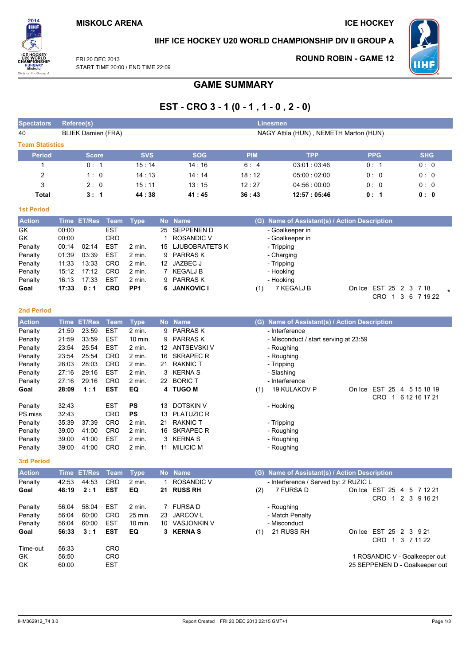**ROUND ROBIN - GAME 12** 



IIHF ICE HOCKEY U20 WORLD CHAMPIONSHIP DIV II GROUP A

FRI 20 DFC 2013 START TIME 20:00 / END TIME 22:09

# **GAME SUMMARY**

## EST - CRO 3 - 1 (0 - 1, 1 - 0, 2 - 0)

| <b>Spectators</b>       |                | <b>Referee(s)</b>         |                          |                   |           |                                  |            | <b>Linesmen</b>                               |            |                                                |  |
|-------------------------|----------------|---------------------------|--------------------------|-------------------|-----------|----------------------------------|------------|-----------------------------------------------|------------|------------------------------------------------|--|
| 40                      |                | <b>BLIEK Damien (FRA)</b> |                          |                   |           |                                  |            | NAGY Attila (HUN), NEMETH Marton (HUN)        |            |                                                |  |
|                         |                |                           |                          |                   |           |                                  |            |                                               |            |                                                |  |
| <b>Team Statistics</b>  |                |                           |                          |                   |           |                                  |            |                                               |            |                                                |  |
| Period                  |                | <b>Score</b>              |                          | <b>SVS</b>        |           | <b>SOG</b>                       | <b>PIM</b> | <b>TPP</b>                                    | <b>PPG</b> | <b>SHG</b>                                     |  |
| 1                       |                | 0: 1                      |                          | 15:14             |           | 14:16                            | 6:4        | 03:01:03:46                                   | 0: 1       | 0: 0                                           |  |
| $\overline{\mathbf{c}}$ |                | 1:0                       |                          | 14:13             |           | 14:14                            | 18:12      | 05:00:02:00                                   | 0:0        | 0:0                                            |  |
| 3                       |                | 2:0                       |                          | 15:11             |           | 13:15                            | 12:27      | 04:56:00:00                                   | 0:0        | 0:0                                            |  |
| <b>Total</b>            |                | 3:1                       |                          | 44:38             |           | 41:45                            | 36:43      | 12:57:05:46                                   | 0:1        | 0:0                                            |  |
| <b>1st Period</b>       |                |                           |                          |                   |           |                                  |            |                                               |            |                                                |  |
| <b>Action</b>           |                | Time ET/Res               | <b>Team</b>              | <b>Type</b>       | <b>No</b> | <b>Name</b>                      | (G)        | Name of Assistant(s) / Action Description     |            |                                                |  |
| GK                      | 00:00          |                           | <b>EST</b>               |                   | 25        | SEPPENEN D                       |            | - Goalkeeper in                               |            |                                                |  |
| GK                      | 00:00          |                           | CRO                      |                   | 1         | <b>ROSANDIC V</b>                |            | - Goalkeeper in                               |            |                                                |  |
| Penalty                 | 00:14          | 02:14                     | <b>EST</b>               | 2 min.            | 15        | <b>LJUBOBRATETS K</b>            |            | - Tripping                                    |            |                                                |  |
| Penalty                 | 01:39          | 03:39                     | <b>EST</b>               | 2 min.            | 9         | <b>PARRASK</b>                   |            | - Charging                                    |            |                                                |  |
| Penalty                 | 11:33          | 13:33                     | CRO                      | 2 min.            |           | 12 JAZBEC J                      |            | - Tripping                                    |            |                                                |  |
| Penalty                 | 15:12          | 17:12                     | CRO                      | 2 min.            |           | 7 KEGALJ B                       |            | - Hooking                                     |            |                                                |  |
| Penalty                 | 16:13          | 17:33                     | <b>EST</b>               | 2 min.            | 9         | <b>PARRASK</b>                   |            | - Hooking                                     |            |                                                |  |
| Goal                    | 17:33          | 0:1                       | <b>CRO</b>               | PP <sub>1</sub>   | 6         | <b>JANKOVIC I</b>                | (1)        | 7 KEGALJ B                                    |            | On Ice EST 25 2 3 7 18                         |  |
|                         |                |                           |                          |                   |           |                                  |            |                                               |            | CRO 1 3 6 7 19 22                              |  |
| <b>2nd Period</b>       |                |                           |                          |                   |           |                                  |            |                                               |            |                                                |  |
| <b>Action</b>           | <b>Time</b>    | <b>ET/Res</b>             | <b>Team</b>              |                   | <b>No</b> | <b>Name</b>                      | (G)        | Name of Assistant(s) / Action Description     |            |                                                |  |
|                         |                |                           |                          | <b>Type</b>       |           |                                  |            | - Interference                                |            |                                                |  |
| Penalty<br>Penalty      | 21:59<br>21:59 | 23:59<br>33:59            | <b>EST</b><br><b>EST</b> | 2 min.<br>10 min. | 9<br>9    | <b>PARRASK</b><br><b>PARRASK</b> |            | - Misconduct / start serving at 23:59         |            |                                                |  |
| Penalty                 | 23:54          | 25:54                     | <b>EST</b>               | 2 min.            |           | 12 ANTSEVSKI V                   |            |                                               |            |                                                |  |
| Penalty                 | 23:54          | 25:54                     | CRO                      | 2 min.            | 16        | <b>SKRAPEC R</b>                 |            | - Roughing<br>- Roughing                      |            |                                                |  |
| Penalty                 | 26:03          | 28:03                     | CRO                      | 2 min.            | 21        | <b>RAKNIC T</b>                  |            | - Tripping                                    |            |                                                |  |
| Penalty                 | 27:16          | 29:16                     | <b>EST</b>               | $2$ min.          | 3         | <b>KERNA S</b>                   |            | - Slashing                                    |            |                                                |  |
| Penalty                 | 27:16          | 29:16                     | CRO                      | $2$ min.          |           | 22 BORIC T                       |            | - Interference                                |            |                                                |  |
| Goal                    | 28:09          | 1:1                       | <b>EST</b>               | EQ                |           | 4 TUGO M                         | (1)        | <b>19 KULAKOV P</b>                           |            | On Ice EST 25 4 5 15 18 19                     |  |
|                         |                |                           |                          |                   |           |                                  |            |                                               |            | CRO 1 6 12 16 17 21                            |  |
| Penalty                 | 32:43          |                           | <b>EST</b>               | <b>PS</b>         | 13        | <b>DOTSKIN V</b>                 |            | - Hooking                                     |            |                                                |  |
| PS.miss                 | 32:43          |                           | <b>CRO</b>               | <b>PS</b>         | 13        | <b>PLATUZIC R</b>                |            |                                               |            |                                                |  |
| Penalty                 | 35:39          | 37:39                     | CRO                      | $2$ min.          | 21        | <b>RAKNIC T</b>                  |            | - Tripping                                    |            |                                                |  |
| Penalty                 | 39:00          | 41:00                     | CRO                      | 2 min.            | 16        | <b>SKRAPEC R</b>                 |            | - Roughing                                    |            |                                                |  |
| Penalty                 | 39:00          | 41:00                     | <b>EST</b>               | 2 min.            | 3         | <b>KERNAS</b>                    |            | - Roughing                                    |            |                                                |  |
| Penalty                 | 39:00          | 41:00                     | CRO                      | 2 min.            | 11        | <b>MILICIC M</b>                 |            | - Roughing                                    |            |                                                |  |
| <b>3rd Period</b>       |                |                           |                          |                   |           |                                  |            |                                               |            |                                                |  |
|                         |                |                           |                          |                   |           |                                  |            |                                               |            |                                                |  |
| <b>Action</b>           |                | Time ET/Res               | Team                     | <b>Type</b>       |           | No Name                          |            | (G) Name of Assistant(s) / Action Description |            |                                                |  |
| Penalty                 | 42:53          | 44:53                     | CRO                      | 2 min.            | 1         | <b>ROSANDIC V</b>                |            | - Interference / Served by: 2 RUZIC L         |            |                                                |  |
| Goal                    | 48:19          | 2:1                       | <b>EST</b>               | EQ                | 21        | <b>RUSS RH</b>                   | (2)        | 7 FURSA D                                     |            | On Ice EST 25 4 5 7 12 21<br>CRO 1 2 3 9 16 21 |  |
| Penalty                 | 56:04          | 58:04                     | <b>EST</b>               | 2 min.            |           | 7 FURSA D                        |            | - Roughing                                    |            |                                                |  |
| Penalty                 | 56:04          | 60:00                     | CRO                      | 25 min.           | 23        | JARCOV L                         |            | - Match Penalty                               |            |                                                |  |
| Penalty                 | 56:04          | 60:00                     | <b>EST</b>               | 10 min.           |           | 10 VASJONKIN V                   |            | - Misconduct                                  |            |                                                |  |
| Goal                    | 56:33          | 3:1                       | <b>EST</b>               | EQ                |           | 3 KERNAS                         | (1)        | 21 RUSS RH                                    |            | On Ice EST 25 2 3 9 21                         |  |

On Ice EST 25 2 3 9 21 CRO 1 3 7 11 22

> 1 ROSANDIC V - Goalkeeper out 25 SEPPENEN D - Goalkeeper out

GK

GK

Time-out

56:33

56:50

60:00

CRO

CRO

**EST**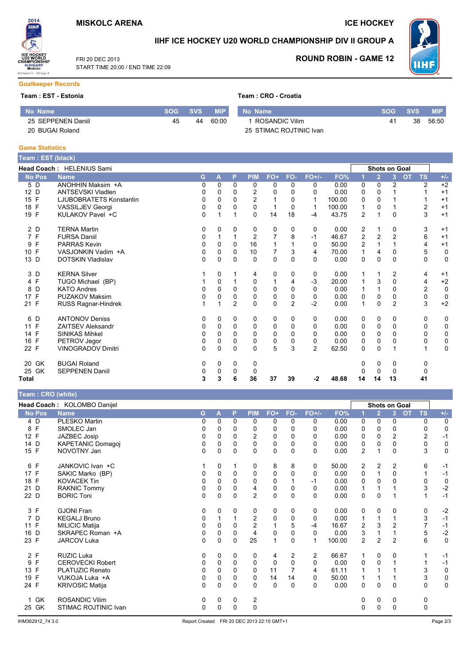

FRI 20 DEC 2013

**ICE HOCKEY** 

**ROUND ROBIN - GAME 12** 



## IIHF ICE HOCKEY U20 WORLD CHAMPIONSHIP DIV II GROUP A



START TIME 20:00 / END TIME 22:09

# **Goalkeeper Records**

## Team : EST - Estonia

|  |  | Team: CRO - Croatia |
|--|--|---------------------|
|  |  |                     |

| Mo Name'           | <b>SOG</b> ' | <b>SVS</b> | <b>MIP</b> | No Name                 | SOG | <b>SVS</b> | <b>MIP</b> |
|--------------------|--------------|------------|------------|-------------------------|-----|------------|------------|
| 25 SEPPENEN Daniil | 45           | 44         | 60:00      | ROSANDIC Vilim          |     | 38         | 56:50      |
| 20 BUGAI Roland    |              |            |            | 25 STIMAC ROJTINIC Ivan |     |            |            |

#### **Game Statistics**

|                      | Team : EST (black)             |    |          |                |                |       |                |                |        |                |                      |                |                        |                             |
|----------------------|--------------------------------|----|----------|----------------|----------------|-------|----------------|----------------|--------|----------------|----------------------|----------------|------------------------|-----------------------------|
|                      | Head Coach: HELENIUS Sami      |    |          |                |                |       |                |                |        |                | <b>Shots on Goal</b> |                |                        |                             |
| <b>No Pos</b>        | <b>Name</b>                    | G. | A        | P              | <b>PIM</b>     | $FO+$ | FO-            | $FO+/-$        | FO%    |                | $\overline{2}$       | $\overline{3}$ | <b>OT</b><br><b>TS</b> | $+/-$                       |
| 5 D                  | ANOHHIN Maksim +A              | 0  | 0        | $\mathbf{0}$   | 0              | 0     | 0              | 0              | 0.00   | 0              | 0                    | 2              |                        | $+2$<br>2                   |
| 12 D                 | <b>ANTSEVSKI Vladlen</b>       | 0  | 0        | 0              | $\overline{c}$ | 0     | 0              | 0              | 0.00   | 0              | $\Omega$             |                |                        | $+1$                        |
| F<br>15              | <b>LJUBOBRATETS Konstantin</b> | 0  | 0        | $\Omega$       | 2              |       | 0              | 1              | 100.00 | 0              | $\Omega$             |                |                        | $+1$                        |
| $\mathsf{F}$<br>18   | <b>VASSILJEV Georgi</b>        | 0  | 0        | 0              | 0              | 1     | 0              | 1              | 100.00 |                | 0                    |                |                        | $+1$<br>2                   |
| 19 F                 | KULAKOV Pavel +C               | 0  | 1        |                | $\Omega$       | 14    | 18             | -4             | 43.75  | $\overline{c}$ | 1                    | $\Omega$       |                        | 3<br>$+1$                   |
| 2 D                  | <b>TERNA Martin</b>            | 0  | 0        | 0              | 0              | 0     | 0              | 0              | 0.00   | 2              |                      | 0              |                        | 3<br>$+1$                   |
| 7 F                  | <b>FURSA Daniil</b>            | 0  |          |                | $\overline{2}$ |       | 8              | $-1$           | 46.67  | 2              | $\overline{2}$       | $\overline{2}$ |                        | $+1$<br>6                   |
| F<br>9               | <b>PARRAS Kevin</b>            | 0  | 0        | 0              | 16             |       |                | 0              | 50.00  | 2              |                      |                |                        | 4<br>$+1$                   |
| F<br>10 <sup>°</sup> | VASJONKIN Vadim +A             | 0  | 0        | $\Omega$       | 10             | 7     | 3              | 4              | 70.00  |                | 4                    | $\Omega$       |                        | 5<br>0                      |
| 13 D                 | <b>DOTSKIN Vladislav</b>       | 0  | 0        | 0              | 0              | 0     | 0              | 0              | 0.00   | 0              | 0                    | 0              |                        | $\mathbf 0$<br>0            |
| 3 D                  | <b>KERNA Silver</b>            |    | 0        |                | 4              | 0     | 0              | 0              | 0.00   | 1              | 1                    | 2              |                        | $+1$<br>4                   |
| 4 F                  | TUGO Michael (BP)              |    | 0        |                | 0              |       | 4              | -3             | 20.00  |                | 3                    | 0              |                        | $+2$<br>4                   |
| D<br>8               | <b>KATO Andres</b>             | 0  | $\Omega$ | $\Omega$       | 0              | 0     | 0              | 0              | 0.00   |                | 1                    | 0              |                        | $\pmb{0}$<br>$\overline{2}$ |
| 17 F                 | <b>PUZAKOV Maksim</b>          | 0  | 0        | $\Omega$       | 0              | 0     | 0              | 0              | 0.00   | 0              | 0                    | 0              |                        | $\mathbf 0$<br>0            |
| 21 F                 | RUSS Ragnar-Hindrek            |    | 1        | $\overline{2}$ | $\Omega$       | 0     | $\overline{2}$ | $-2$           | 0.00   | 1              | $\Omega$             | $\overline{2}$ |                        | $+2$<br>3                   |
| 6 D                  | <b>ANTONOV Deniss</b>          | 0  | 0        | 0              | 0              | 0     | 0              | 0              | 0.00   | 0              | 0                    | 0              |                        | 0<br>0                      |
| 11 F                 | <b>ZAITSEV Aleksandr</b>       | 0  | 0        | $\Omega$       | 0              | 0     | 0              | 0              | 0.00   | 0              | 0                    | 0              | 0                      | 0                           |
| 14 F                 | <b>SINIKAS Mihkel</b>          | 0  | 0        | 0              | 0              | 0     | 0              | 0              | 0.00   | 0              | 0                    | 0              |                        | 0<br>$\Omega$               |
| F<br>16              | PETROV Jegor                   | 0  | 0        | 0              | 0              | 0     | 0              | 0              | 0.00   | 0              | 0                    | 0              |                        | $\pmb{0}$<br>0              |
| 22 F                 | <b>VINOGRADOV Dmitri</b>       | 0  | 0        | $\Omega$       | 0              | 5     | 3              | $\overline{2}$ | 62.50  | $\Omega$       | $\mathbf 0$          |                |                        | $\mathbf 0$                 |
| GK<br>20             | <b>BUGAI Roland</b>            | 0  | 0        | 0              | 0              |       |                |                |        | 0              | 0                    | 0              |                        | 0                           |
| 25 GK                | <b>SEPPENEN Daniil</b>         | 0  | 0        | 0              | 0              |       |                |                |        | Ω              | 0                    | $\Omega$       |                        | 0                           |
| Total                |                                | 3  | 3        | 6              | 36             | 37    | 39             | -2             | 48.68  | 14             | 14                   | 13             | 41                     |                             |

### $\sim$   $\sim$   $\sim$   $\sim$

| <b>Team: CRO (Write)</b> |                             |          |          |          |                |             |          |          |        |                |                |                |           |                |             |
|--------------------------|-----------------------------|----------|----------|----------|----------------|-------------|----------|----------|--------|----------------|----------------|----------------|-----------|----------------|-------------|
|                          | Head Coach: KOLOMBO Danijel |          |          |          |                |             |          |          |        |                | Shots on Goal  |                |           |                |             |
| <b>No Pos</b>            | <b>Name</b>                 | G        | A        | P        | <b>PIM</b>     | FO+         | FO-      | $FO+/-$  | FO%    |                | $\overline{2}$ | 3 <sup>1</sup> | <b>OT</b> | <b>TS</b>      | $+/-$       |
| 4 D                      | <b>PLESKO Martin</b>        | 0        | 0        | $\Omega$ | 0              | $\Omega$    | 0        | 0        | 0.00   | 0              | 0              | 0              |           | 0              | 0           |
| F<br>8                   | SMOLEC Jan                  | 0        | 0        | 0        | 0              | 0           | 0        | 0        | 0.00   | 0              | 0              | 0              |           | 0              | 0           |
| 12 F                     | JAZBEC Josip                | 0        | 0        | 0        | $\overline{2}$ | $\mathbf 0$ | 0        | 0        | 0.00   | 0              | $\mathbf 0$    | $\overline{2}$ |           | $\overline{c}$ | $-1$        |
| 14 D                     | <b>KAPETANIC Domagoj</b>    | 0        | 0        | 0        | 0              | 0           | 0        | 0        | 0.00   | 0              | 0              | 0              |           | 0              | $\mathbf 0$ |
| 15 F                     | NOVOTNY Jan                 | 0        | 0        | $\Omega$ | $\mathbf 0$    | $\mathbf 0$ | $\Omega$ | $\Omega$ | 0.00   | $\overline{2}$ | 1              | $\Omega$       |           | 3              | $\mathbf 0$ |
| F<br>6                   | JANKOVIC Ivan +C            |          | 0        |          | 0              | 8           | 8        | 0        | 50.00  | 2              | 2              | 2              |           | 6              | $-1$        |
| 17 F                     | SAKIC Marko (BP)            | 0        | 0        | 0        | 0              | 0           | 0        | $\Omega$ | 0.00   | 0              |                | 0              |           |                | $-1$        |
| 18 F                     | <b>KOVACEK Tin</b>          | 0        | $\Omega$ | $\Omega$ | $\mathbf 0$    | $\mathbf 0$ |          | -1       | 0.00   | 0              | $\Omega$       | $\Omega$       |           | 0              | $\mathbf 0$ |
| 21 D                     | <b>RAKNIC Tommy</b>         | 0        | 0        | $\Omega$ | 4              | $\mathbf 0$ | 0        | $\Omega$ | 0.00   | 1              |                |                |           | 3              | $-2$        |
| 22 D                     | <b>BORIC Toni</b>           | $\Omega$ | 0        | $\Omega$ | $\overline{2}$ | $\mathbf 0$ | 0        | $\Omega$ | 0.00   | 0              | $\Omega$       |                |           |                | $-1$        |
| 3 F                      | <b>GJONI Fran</b>           | 0        | 0        | 0        | 0              | 0           | 0        | 0        | 0.00   | 0              | 0              | 0              |           | 0              | $-2$        |
| 7 D                      | <b>KEGALJ Bruno</b>         | 0        |          |          | $\overline{2}$ | 0           | 0        | $\Omega$ | 0.00   | 1              |                |                |           | 3              | $-1$        |
| 11 F                     | <b>MILICIC Matija</b>       | 0        | 0        | 0        | 2              |             | 5        | -4       | 16.67  | 2              | 3              | 2              |           | $\overline{7}$ | $-1$        |
| 16 D                     | SKRAPEC Roman +A            | 0        | 0        | $\Omega$ | 4              | 0           | $\Omega$ | $\Omega$ | 0.00   | 3              | 1              |                |           | 5              | $-2$        |
| 23 F                     | JARCOV Luka                 | 0        | 0        | 0        | 25             | 1           | 0        | 1        | 100.00 | $\overline{c}$ | $\overline{2}$ | $\overline{c}$ |           | 6              | $\mathbf 0$ |
| 2 F                      | <b>RUZIC Luka</b>           | 0        | 0        | 0        | 0              | 4           | 2        | 2        | 66.67  | 1              | 0              | 0              |           |                | $-1$        |
| F<br>9                   | <b>CEROVECKI Robert</b>     | 0        | 0        | $\Omega$ | 0              | $\mathbf 0$ | $\Omega$ | $\Omega$ | 0.00   | 0              | $\Omega$       |                |           |                | $-1$        |
| F<br>13                  | PLATUZIC Renato             | 0        | 0        | $\Omega$ | 0              | 11          |          | 4        | 61.11  |                |                |                |           | 3              | $\mathbf 0$ |
| F<br>19                  | VUKOJA Luka +A              | 0        | 0        | $\Omega$ | 0              | 14          | 14       | 0        | 50.00  |                |                |                |           | 3              | $\pmb{0}$   |
| 24 F                     | <b>KRIVOSIC Matija</b>      | 0        | 0        | $\Omega$ | $\Omega$       | 0           | 0        | $\Omega$ | 0.00   | 0              | 0              | $\Omega$       |           | 0              | $\mathbf 0$ |
| GK                       | <b>ROSANDIC Vilim</b>       | 0        | 0        | 0        | 2              |             |          |          |        | 0              | 0              | 0              |           | 0              |             |
| GK<br>25                 | STIMAC ROJTINIC Ivan        | $\Omega$ | 0        | $\Omega$ | $\Omega$       |             |          |          |        | 0              | $\Omega$       | $\Omega$       |           | 0              |             |
|                          |                             |          |          |          |                |             |          |          |        |                |                |                |           |                |             |